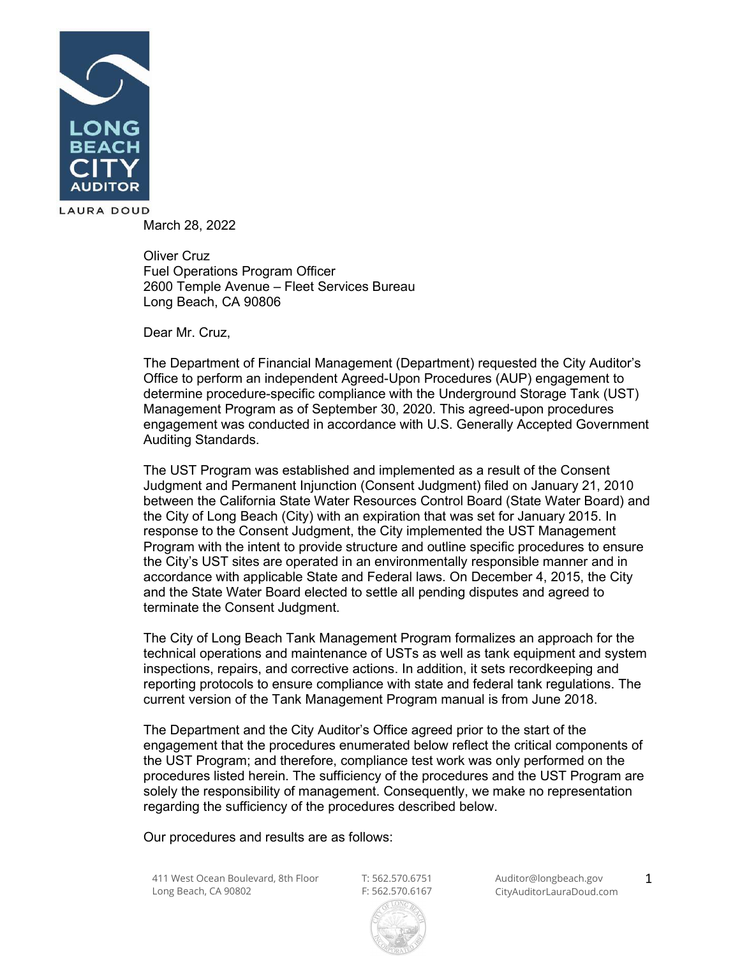

March 28, 2022

Oliver Cruz Fuel Operations Program Officer 2600 Temple Avenue – Fleet Services Bureau Long Beach, CA 90806

Dear Mr. Cruz,

The Department of Financial Management (Department) requested the City Auditor's Office to perform an independent Agreed-Upon Procedures (AUP) engagement to determine procedure-specific compliance with the Underground Storage Tank (UST) Management Program as of September 30, 2020. This agreed-upon procedures engagement was conducted in accordance with U.S. Generally Accepted Government Auditing Standards.

The UST Program was established and implemented as a result of the Consent Judgment and Permanent Injunction (Consent Judgment) filed on January 21, 2010 between the California State Water Resources Control Board (State Water Board) and the City of Long Beach (City) with an expiration that was set for January 2015. In response to the Consent Judgment, the City implemented the UST Management Program with the intent to provide structure and outline specific procedures to ensure the City's UST sites are operated in an environmentally responsible manner and in accordance with applicable State and Federal laws. On December 4, 2015, the City and the State Water Board elected to settle all pending disputes and agreed to terminate the Consent Judgment.

The City of Long Beach Tank Management Program formalizes an approach for the technical operations and maintenance of USTs as well as tank equipment and system inspections, repairs, and corrective actions. In addition, it sets recordkeeping and reporting protocols to ensure compliance with state and federal tank regulations. The current version of the Tank Management Program manual is from June 2018.

The Department and the City Auditor's Office agreed prior to the start of the engagement that the procedures enumerated below reflect the critical components of the UST Program; and therefore, compliance test work was only performed on the procedures listed herein. The sufficiency of the procedures and the UST Program are solely the responsibility of management. Consequently, we make no representation regarding the sufficiency of the procedures described below.

Our procedures and results are as follows:

411 West Ocean Boulevard, 8th Floor Long Beach, CA 90802

F: 562.570.6167

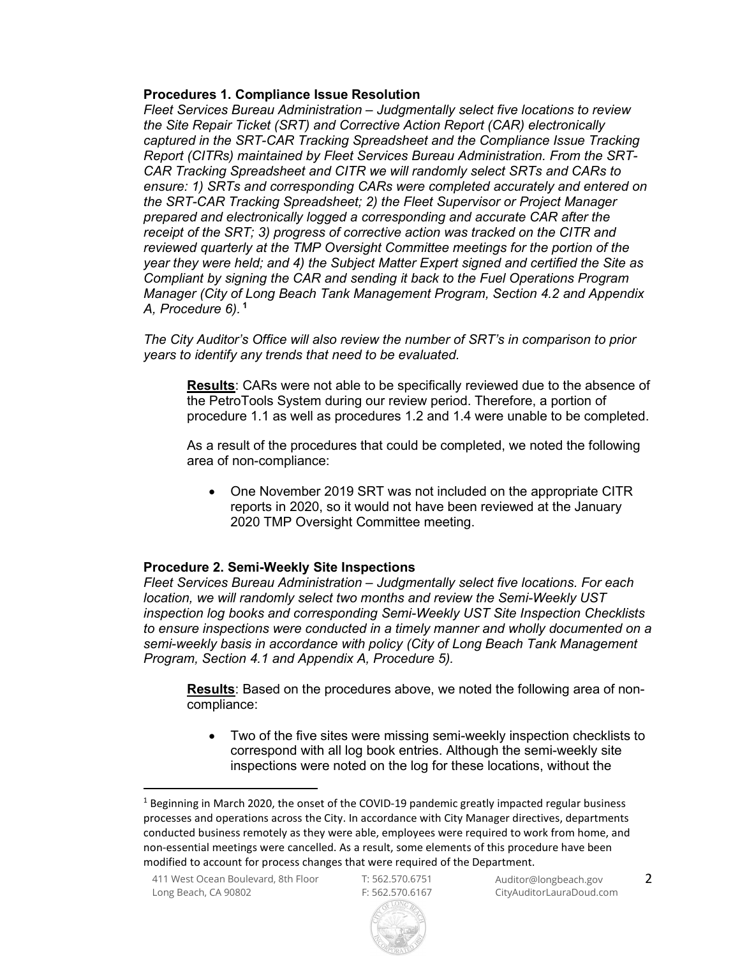#### Procedures 1. Compliance Issue Resolution

Fleet Services Bureau Administration – Judgmentally select five locations to review the Site Repair Ticket (SRT) and Corrective Action Report (CAR) electronically captured in the SRT-CAR Tracking Spreadsheet and the Compliance Issue Tracking Report (CITRs) maintained by Fleet Services Bureau Administration. From the SRT-CAR Tracking Spreadsheet and CITR we will randomly select SRTs and CARs to ensure: 1) SRTs and corresponding CARs were completed accurately and entered on the SRT-CAR Tracking Spreadsheet; 2) the Fleet Supervisor or Project Manager prepared and electronically logged a corresponding and accurate CAR after the receipt of the SRT; 3) progress of corrective action was tracked on the CITR and reviewed quarterly at the TMP Oversight Committee meetings for the portion of the year they were held; and 4) the Subject Matter Expert signed and certified the Site as Compliant by signing the CAR and sending it back to the Fuel Operations Program Manager (City of Long Beach Tank Management Program, Section 4.2 and Appendix A, Procedure 6), <sup>1</sup>

The City Auditor's Office will also review the number of SRT's in comparison to prior years to identify any trends that need to be evaluated.

Results: CARs were not able to be specifically reviewed due to the absence of the PetroTools System during our review period. Therefore, a portion of procedure 1.1 as well as procedures 1.2 and 1.4 were unable to be completed.

As a result of the procedures that could be completed, we noted the following area of non-compliance:

• One November 2019 SRT was not included on the appropriate CITR reports in 2020, so it would not have been reviewed at the January 2020 TMP Oversight Committee meeting.

## Procedure 2. Semi-Weekly Site Inspections

Fleet Services Bureau Administration – Judgmentally select five locations. For each location, we will randomly select two months and review the Semi-Weekly UST inspection log books and corresponding Semi-Weekly UST Site Inspection Checklists to ensure inspections were conducted in a timely manner and wholly documented on a semi-weekly basis in accordance with policy (City of Long Beach Tank Management Program, Section 4.1 and Appendix A, Procedure 5).

**Results**: Based on the procedures above, we noted the following area of noncompliance:

 Two of the five sites were missing semi-weekly inspection checklists to correspond with all log book entries. Although the semi-weekly site inspections were noted on the log for these locations, without the



<sup>&</sup>lt;sup>1</sup> Beginning in March 2020, the onset of the COVID-19 pandemic greatly impacted regular business processes and operations across the City. In accordance with City Manager directives, departments conducted business remotely as they were able, employees were required to work from home, and non-essential meetings were cancelled. As a result, some elements of this procedure have been modified to account for process changes that were required of the Department.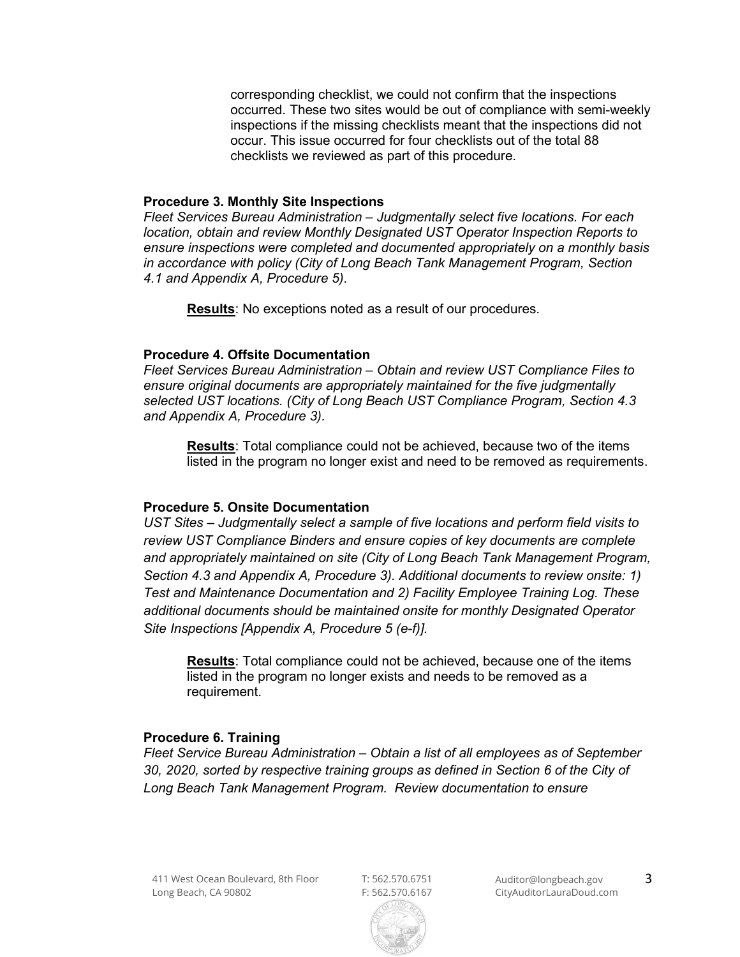corresponding checklist, we could not confirm that the inspections occurred. These two sites would be out of compliance with semi-weekly inspections if the missing checklists meant that the inspections did not occur. This issue occurred for four checklists out of the total 88 checklists we reviewed as part of this procedure.

#### Procedure 3. Monthly Site Inspections

Fleet Services Bureau Administration – Judgmentally select five locations. For each location, obtain and review Monthly Designated UST Operator Inspection Reports to ensure inspections were completed and documented appropriately on a monthly basis in accordance with policy (City of Long Beach Tank Management Program, Section 4.1 and Appendix A, Procedure 5).

Results: No exceptions noted as a result of our procedures.

## Procedure 4. Offsite Documentation

Fleet Services Bureau Administration – Obtain and review UST Compliance Files to ensure original documents are appropriately maintained for the five judgmentally selected UST locations. (City of Long Beach UST Compliance Program, Section 4.3 and Appendix A, Procedure 3).

Results: Total compliance could not be achieved, because two of the items listed in the program no longer exist and need to be removed as requirements.

## Procedure 5. Onsite Documentation

UST Sites – Judgmentally select a sample of five locations and perform field visits to review UST Compliance Binders and ensure copies of key documents are complete and appropriately maintained on site (City of Long Beach Tank Management Program, Section 4.3 and Appendix A, Procedure 3). Additional documents to review onsite: 1) Test and Maintenance Documentation and 2) Facility Employee Training Log. These additional documents should be maintained onsite for monthly Designated Operator Site Inspections [Appendix A, Procedure 5 (e-f)].

Results: Total compliance could not be achieved, because one of the items listed in the program no longer exists and needs to be removed as a requirement.

## Procedure 6. Training

Fleet Service Bureau Administration – Obtain a list of all employees as of September 30, 2020, sorted by respective training groups as defined in Section 6 of the City of Long Beach Tank Management Program. Review documentation to ensure

F: 562.570.6167

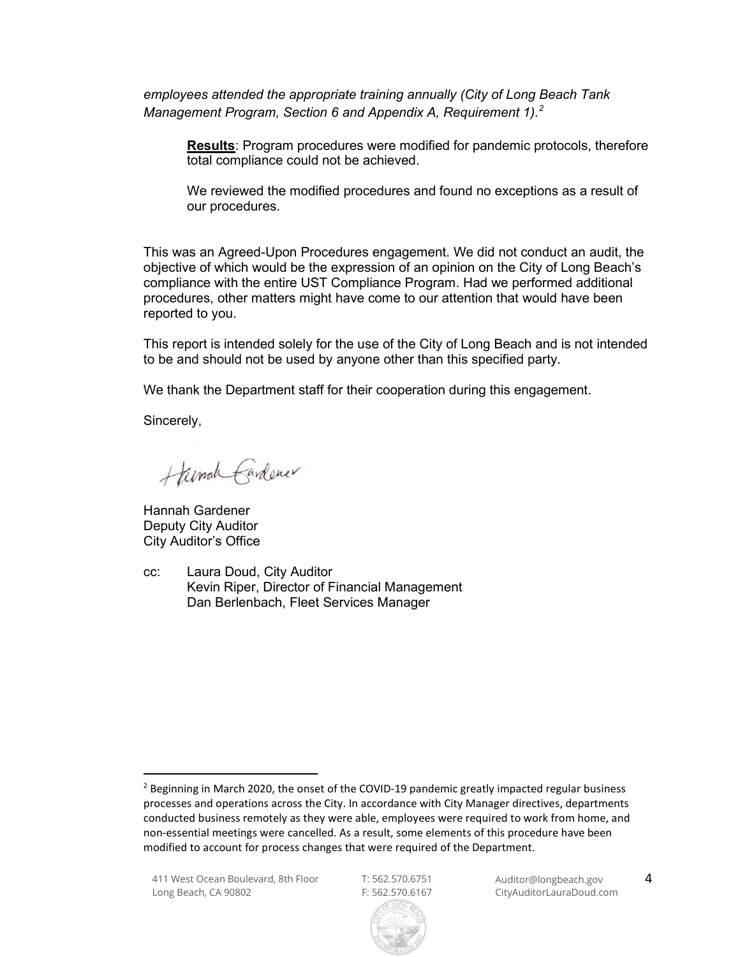employees attended the appropriate training annually (City of Long Beach Tank Management Program, Section 6 and Appendix A, Requirement 1). $^2$ 

Results: Program procedures were modified for pandemic protocols, therefore total compliance could not be achieved.

We reviewed the modified procedures and found no exceptions as a result of our procedures.

This was an Agreed-Upon Procedures engagement. We did not conduct an audit, the objective of which would be the expression of an opinion on the City of Long Beach's compliance with the entire UST Compliance Program. Had we performed additional procedures, other matters might have come to our attention that would have been reported to you.

This report is intended solely for the use of the City of Long Beach and is not intended to be and should not be used by anyone other than this specified party.

We thank the Department staff for their cooperation during this engagement.

Sincerely,

Hunch Cardener

Hannah Gardener Deputy City Auditor City Auditor's Office

cc: Laura Doud, City Auditor Kevin Riper, Director of Financial Management Dan Berlenbach, Fleet Services Manager

<sup>&</sup>lt;sup>2</sup> Beginning in March 2020, the onset of the COVID-19 pandemic greatly impacted regular business processes and operations across the City. In accordance with City Manager directives, departments conducted business remotely as they were able, employees were required to work from home, and non-essential meetings were cancelled. As a result, some elements of this procedure have been modified to account for process changes that were required of the Department.